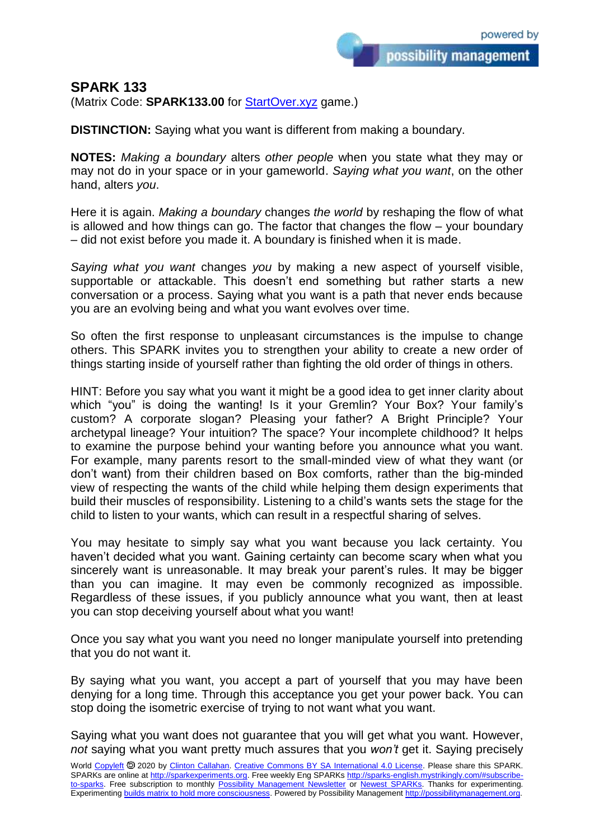## **SPARK 133**

(Matrix Code: **SPARK133.00** for **StartOver.xyz** game.)

**DISTINCTION:** Saying what you want is different from making a boundary.

**NOTES:** *Making a boundary* alters *other people* when you state what they may or may not do in your space or in your gameworld. *Saying what you want*, on the other hand, alters *you*.

Here it is again. *Making a boundary* changes *the world* by reshaping the flow of what is allowed and how things can go. The factor that changes the flow – your boundary – did not exist before you made it. A boundary is finished when it is made.

*Saying what you want* changes *you* by making a new aspect of yourself visible, supportable or attackable. This doesn't end something but rather starts a new conversation or a process. Saying what you want is a path that never ends because you are an evolving being and what you want evolves over time.

So often the first response to unpleasant circumstances is the impulse to change others. This SPARK invites you to strengthen your ability to create a new order of things starting inside of yourself rather than fighting the old order of things in others.

HINT: Before you say what you want it might be a good idea to get inner clarity about which "you" is doing the wanting! Is it your Gremlin? Your Box? Your family's custom? A corporate slogan? Pleasing your father? A Bright Principle? Your archetypal lineage? Your intuition? The space? Your incomplete childhood? It helps to examine the purpose behind your wanting before you announce what you want. For example, many parents resort to the small-minded view of what they want (or don't want) from their children based on Box comforts, rather than the big-minded view of respecting the wants of the child while helping them design experiments that build their muscles of responsibility. Listening to a child's wants sets the stage for the child to listen to your wants, which can result in a respectful sharing of selves.

You may hesitate to simply say what you want because you lack certainty. You haven't decided what you want. Gaining certainty can become scary when what you sincerely want is unreasonable. It may break your parent's rules. It may be bigger than you can imagine. It may even be commonly recognized as impossible. Regardless of these issues, if you publicly announce what you want, then at least you can stop deceiving yourself about what you want!

Once you say what you want you need no longer manipulate yourself into pretending that you do not want it.

By saying what you want, you accept a part of yourself that you may have been denying for a long time. Through this acceptance you get your power back. You can stop doing the isometric exercise of trying to not want what you want.

Saying what you want does not guarantee that you will get what you want. However, *not* saying what you want pretty much assures that you *won't* get it. Saying precisely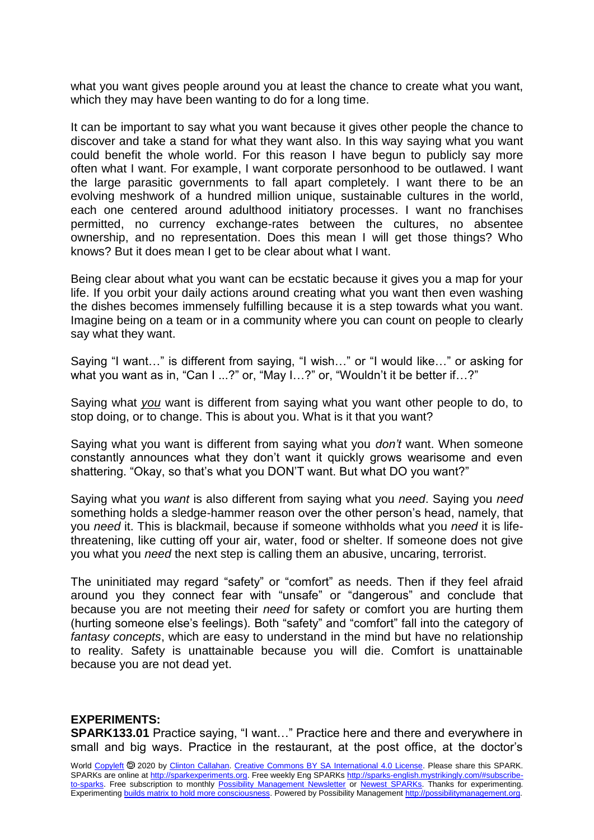what you want gives people around you at least the chance to create what you want, which they may have been wanting to do for a long time.

It can be important to say what you want because it gives other people the chance to discover and take a stand for what they want also. In this way saying what you want could benefit the whole world. For this reason I have begun to publicly say more often what I want. For example, I want corporate personhood to be outlawed. I want the large parasitic governments to fall apart completely. I want there to be an evolving meshwork of a hundred million unique, sustainable cultures in the world, each one centered around adulthood initiatory processes. I want no franchises permitted, no currency exchange-rates between the cultures, no absentee ownership, and no representation. Does this mean I will get those things? Who knows? But it does mean I get to be clear about what I want.

Being clear about what you want can be ecstatic because it gives you a map for your life. If you orbit your daily actions around creating what you want then even washing the dishes becomes immensely fulfilling because it is a step towards what you want. Imagine being on a team or in a community where you can count on people to clearly say what they want.

Saying "I want…" is different from saying, "I wish…" or "I would like…" or asking for what you want as in, "Can I ...?" or, "May I...?" or, "Wouldn't it be better if...?"

Saying what *you* want is different from saying what you want other people to do, to stop doing, or to change. This is about you. What is it that you want?

Saying what you want is different from saying what you *don't* want. When someone constantly announces what they don't want it quickly grows wearisome and even shattering. "Okay, so that's what you DON'T want. But what DO you want?"

Saying what you *want* is also different from saying what you *need*. Saying you *need* something holds a sledge-hammer reason over the other person's head, namely, that you *need* it. This is blackmail, because if someone withholds what you *need* it is lifethreatening, like cutting off your air, water, food or shelter. If someone does not give you what you *need* the next step is calling them an abusive, uncaring, terrorist.

The uninitiated may regard "safety" or "comfort" as needs. Then if they feel afraid around you they connect fear with "unsafe" or "dangerous" and conclude that because you are not meeting their *need* for safety or comfort you are hurting them (hurting someone else's feelings). Both "safety" and "comfort" fall into the category of *fantasy concepts*, which are easy to understand in the mind but have no relationship to reality. Safety is unattainable because you will die. Comfort is unattainable because you are not dead yet.

## **EXPERIMENTS:**

**SPARK133.01** Practice saying, "I want…" Practice here and there and everywhere in small and big ways. Practice in the restaurant, at the post office, at the doctor's